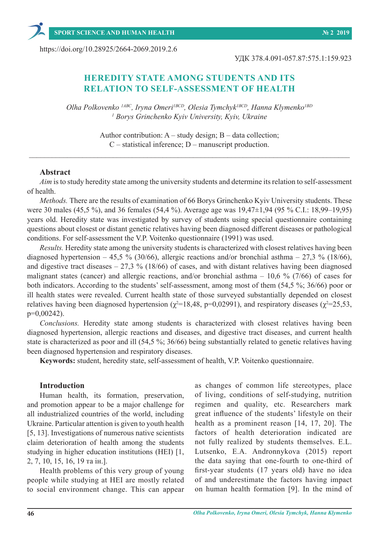https://doi.org/10.28925/2664-2069.2019.2.6

УДК 378.4.091-057.87:575.1:159.923

# **HEREDITY STATE AMONG STUDENTS AND ITS RELATION TO SELF-ASSESSMENT OF HEALTH**

*Olha Polkovenko 1АВС, Iryna Omeri1ВСD, Olesia Tymchyk1ВСD, Hanna Klymenko1ВD 1 Borys Grinchenko Kyiv University, Kyiv, Ukraine*

> Author contribution:  $A - study$  design;  $B - data$  collection; C – statistical inference; D – manuscript production.

\_\_\_\_\_\_\_\_\_\_\_\_\_\_\_\_\_\_\_\_\_\_\_\_\_\_\_\_\_\_\_\_\_\_\_\_\_\_\_\_\_\_\_\_\_\_\_\_\_\_\_\_\_\_\_\_\_\_\_\_\_\_\_\_\_\_\_\_\_\_\_\_\_\_\_\_\_\_\_\_\_\_\_\_

#### **Abstract**

*Aim* is to study heredity state among the university students and determine its relation to self-assessment of health.

*Methods.* There are the results of examination of 66 Borys Grinchenko Kyiv University students. These were 30 males (45,5 %), and 36 females (54,4 %). Average age was 19,47±1,94 (95 % C.I.: 18,99–19,95) years old. Heredity state was investigated by survey of students using special questionnaire containing questions about closest or distant genetic relatives having been diagnosed different diseases or pathological conditions. For self-assessment the V.P. Voitenko questionnaire (1991) was used.

*Results.* Heredity state among the university students is characterized with closest relatives having been diagnosed hypertension – 45,5 % (30/66), allergic reactions and/or bronchial asthma – 27,3 % (18/66), and digestive tract diseases  $-27.3\%$  (18/66) of cases, and with distant relatives having been diagnosed malignant states (cancer) and allergic reactions, and/or bronchial asthma – 10,6 % (7/66) of cases for both indicators. According to the students' self-assessment, among most of them (54,5 %; 36/66) poor or ill health states were revealed. Current health state of those surveyed substantially depended on closest relatives having been diagnosed hypertension ( $\chi^2$ =18,48, p=0,02991), and respiratory diseases ( $\chi^2$ =25,53, p=0,00242).

*Conclusions.* Heredity state among students is characterized with closest relatives having been diagnosed hypertension, allergic reactions and diseases, and digestive tract diseases, and current health state is characterized as poor and ill (54,5 %; 36/66) being substantially related to genetic relatives having been diagnosed hypertension and respiratory diseases.

**Keywords:** student, heredity state, self-assessment of health, V.P. Voitenko questionnaire.

#### **Introduction**

Human health, its formation, preservation, and promotion appear to be a major challenge for all industrialized countries of the world, including Ukraine. Particular attention is given to youth health [5, 13]. Investigations of numerous native scientists claim deterioration of health among the students studying in higher education institutions (HEI) [1, 2, 7, 10, 15, 16, 19 та ін.].

Health problems of this very group of young people while studying at HEI are mostly related to social environment change. This can appear as changes of common life stereotypes, place of living, conditions of self-studying, nutrition regimen and quality, etc. Researchers mark great influence of the students' lifestyle on their health as a prominent reason [14, 17, 20]. The factors of health deterioration indicated are not fully realized by students themselves. E.L. Lutsenko, E.A. Andronnykova (2015) report the data saying that one-fourth to one-third of first-year students (17 years old) have no idea of and underestimate the factors having impact on human health formation [9]. In the mind of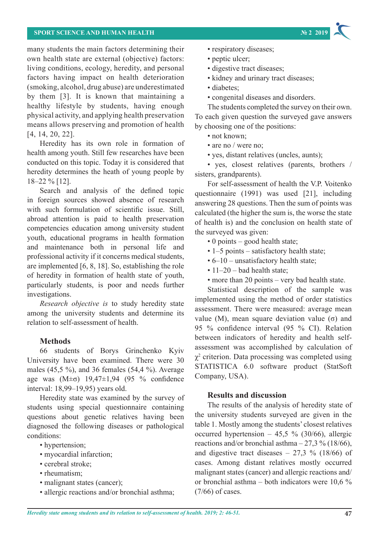### **SPORT SCIENCE AND HUMAN HEALTH № 2 2019**

many students the main factors determining their own health state are external (objective) factors: living conditions, ecology, heredity, and personal factors having impact on health deterioration (smoking, alcohol, drug abuse) are underestimated by them [3]. It is known that maintaining a healthy lifestyle by students, having enough physical activity, and applying health preservation means allows preserving and promotion of health [4, 14, 20, 22].

Heredity has its own role in formation of health among youth. Still few researches have been conducted on this topic. Today it is considered that heredity determines the heath of young people by 18–22 % [12].

Search and analysis of the defined topic in foreign sources showed absence of research with such formulation of scientific issue. Still, abroad attention is paid to health preservation competencies education among university student youth, educational programs in health formation and maintenance both in personal life and professional activity if it concerns medical students, are implemented [6, 8, 18]. So, establishing the role of heredity in formation of health state of youth, particularly students, is poor and needs further investigations.

*Research objective is* to study heredity state among the university students and determine its relation to self-assessment of health.

#### **Methods**

66 students of Borys Grinchenko Kyiv University have been examined. There were 30 males (45,5 %), and 36 females (54,4 %). Average age was (М±σ) 19,47±1,94 (95 % confidence interval: 18,99–19,95) years old.

Heredity state was examined by the survey of students using special questionnaire containing questions about genetic relatives having been diagnosed the following diseases or pathological conditions:

- hypertension;
- myocardial infarction;
- cerebral stroke;
- rheumatism;
- malignant states (cancer);
- allergic reactions and/or bronchial asthma;
- respiratory diseases;
- peptic ulcer;
- digestive tract diseases;
- kidney and urinary tract diseases;
- diabetes;
- congenital diseases and disorders.

The students completed the survey on their own. To each given question the surveyed gave answers by choosing one of the positions:

- not known;
- are no / were no:
- yes, distant relatives (uncles, aunts);

• yes, closest relatives (parents, brothers / sisters, grandparents).

For self-assessment of health the V.P. Voitenko questionnaire (1991) was used [21], including answering 28 questions. Then the sum of points was calculated (the higher the sum is, the worse the state of health is) and the conclusion on health state of the surveyed was given:

- 0 points good health state;
- 1–5 points satisfactory health state;
- 6–10 unsatisfactory health state;
- $\cdot$  11–20 bad health state;
- more than 20 points very bad health state.

Statistical description of the sample was implemented using the method of order statistics assessment. There were measured: average mean value (M), mean square deviation value (σ) and 95 % confidence interval (95 % CI). Relation between indicators of heredity and health selfassessment was accomplished by calculation of  $\chi^2$  criterion. Data processing was completed using STATISTICA 6.0 software product (StatSoft Company, USA).

#### **Results and discussion**

The results of the analysis of heredity state of the university students surveyed are given in the table 1. Mostly among the students' closest relatives occurred hypertension – 45,5 % (30/66), allergic reactions and/or bronchial asthma  $-27.3$  % (18/66), and digestive tract diseases  $-27.3 \%$  (18/66) of cases. Among distant relatives mostly occurred malignant states (cancer) and allergic reactions and/ or bronchial asthma – both indicators were 10,6 % (7/66) of cases.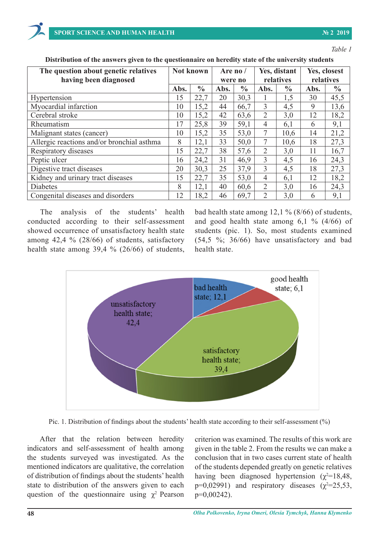*Table 1* **Distribution of the answers given to the university state of the university students university students university students** 

| The question about genetic relatives       | Not known |               | Are no / |               | Yes, distant   |               | Yes, closest |               |
|--------------------------------------------|-----------|---------------|----------|---------------|----------------|---------------|--------------|---------------|
| having been diagnosed                      |           |               | were no  |               | relatives      |               | relatives    |               |
|                                            | Abs.      | $\frac{0}{0}$ | Abs.     | $\frac{6}{9}$ | Abs.           | $\frac{6}{6}$ | Abs.         | $\frac{0}{0}$ |
| Hypertension                               | 15        | 22,7          | 20       | 30,3          |                | 1,5           | 30           | 45,5          |
| Myocardial infarction                      | 10        | 15,2          | 44       | 66,7          | $\overline{3}$ | 4,5           | 9            | 13,6          |
| Cerebral stroke                            | 10        | 15,2          | 42       | 63,6          | 2              | 3,0           | 12           | 18,2          |
| Rheumatism                                 | 17        | 25,8          | 39       | 59,1          | $\overline{4}$ | 6,1           | 6            | 9,1           |
| Malignant states (cancer)                  | 10        | 15,2          | 35       | 53,0          | $\tau$         | 10,6          | 14           | 21,2          |
| Allergic reactions and/or bronchial asthma | 8         | 12,1          | 33       | 50,0          | 7              | 10,6          | 18           | 27,3          |
| Respiratory diseases                       | 15        | 22,7          | 38       | 57,6          | 2              | 3,0           | 11           | 16,7          |
| Peptic ulcer                               | 16        | 24,2          | 31       | 46,9          | 3              | 4,5           | 16           | 24,3          |
| Digestive tract diseases                   | 20        | 30,3          | 25       | 37,9          | $\overline{3}$ | 4,5           | 18           | 27,3          |
| Kidney and urinary tract diseases          | 15        | 22,7          | 35       | 53,0          | $\overline{4}$ | 6,1           | 12           | 18,2          |
| <b>Diabetes</b>                            | 8         | 12,1          | 40       | 60,6          | 2              | 3,0           | 16           | 24,3          |
| Congenital diseases and disorders          | 12        | 18,2          | 46       | 69,7          | 2              | 3,0           | 6            | 9,1           |

**Distribution of the answers given to the questionnaire on heredity state of the university students**

cases. Among distant relatives mostly occurred malignant states (cancer) and allergic reactions and/or

The analysis of the students' health conducted according to their self-assessment among 42,4 % (28/66) of students, satisfactory unsatisfactory and bad health state.

showed occurrence of unsatisfactory health state students (pic. 1). So, most students examined health state among 39,4 %  $(26/66)$  of students, health state. bad health state among 12,1 % (8/66) of students, cted according to their self-assessment and good health state among  $6,1\%$  (4/66) of students (pic. 1). So, most students examined among 42,4 % (28/66) of students, satisfactory  $(54,5 \frac{\%}{36/66})$  have unsatisfactory and bad health state.



Pic. 1. Distribution of findings about the students' health state according to their self-assessment (%) Pic. 1. Distribution of findings about the students' health state according to their self-assessment (%)

After that the relation between heredity indicators and self-assessment of health among the students surveyed was investigated. As the mentioned indicators are qualitative, the correlation of distribution of findings about the students' health state to distribution of the answers given to each question of the questionnaire using  $\chi^2$  Pearson criterion was examined. The results of this work are given in the table 2. From the results we can make a conclusion that in two cases current state of health of the students depended greatly on genetic relatives having been diagnosed hypertension ( $\chi^2$ =18,48, p=0,02991) and respiratory diseases  $(\chi^2=25,53,$ p=0,00242).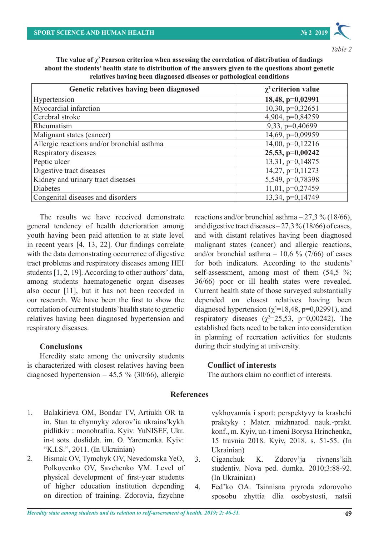

*Table 2*

| The value of $\chi^2$ Pearson criterion when assessing the correlation of distribution of findings   |
|------------------------------------------------------------------------------------------------------|
| about the students' health state to distribution of the answers given to the questions about genetic |
| relatives having been diagnosed diseases or pathological conditions                                  |

| Genetic relatives having been diagnosed    | $\chi^2$ criterion value |  |  |  |
|--------------------------------------------|--------------------------|--|--|--|
| Hypertension                               | 18,48, p=0,02991         |  |  |  |
| Myocardial infarction                      | $10,30, p=0,32651$       |  |  |  |
| Cerebral stroke                            | 4,904, p=0,84259         |  |  |  |
| Rheumatism                                 | 9,33, p=0,40699          |  |  |  |
| Malignant states (cancer)                  | 14,69, p=0,09959         |  |  |  |
| Allergic reactions and/or bronchial asthma | $14,00, p=0,12216$       |  |  |  |
| Respiratory diseases                       | 25,53, p=0,00242         |  |  |  |
| Peptic ulcer                               | 13,31, p=0,14875         |  |  |  |
| Digestive tract diseases                   | 14,27, p=0,11273         |  |  |  |
| Kidney and urinary tract diseases          | 5,549, p=0,78398         |  |  |  |
| <b>Diabetes</b>                            | $11,01$ , $p=0,27459$    |  |  |  |
| Congenital diseases and disorders          | 13,34, p=0,14749         |  |  |  |

The results we have received demonstrate general tendency of health deterioration among youth having been paid attention to at state level in recent years [4, 13, 22]. Our findings correlate with the data demonstrating occurrence of digestive tract problems and respiratory diseases among HEI students [1, 2, 19]. According to other authors' data, among students haematogenetic organ diseases also occur [11], but it has not been recorded in our research. We have been the first to show the correlation of current students' health state to genetic relatives having been diagnosed hypertension and respiratory diseases.

### **Conclusions**

Heredity state among the university students is characterized with closest relatives having been diagnosed hypertension  $-45.5 \%$  (30/66), allergic reactions and/or bronchial asthma  $-27.3\%$  (18/66), and digestive tract diseases – 27,3% (18/66) of cases, and with distant relatives having been diagnosed malignant states (cancer) and allergic reactions, and/or bronchial asthma  $-10,6$  % (7/66) of cases for both indicators. According to the students' self-assessment, among most of them  $(54,5\%;$ 36/66) poor or ill health states were revealed. Current health state of those surveyed substantially depended on closest relatives having been diagnosed hypertension ( $\chi^2$ =18,48, p=0,02991), and respiratory diseases  $(\chi^2=25,53, p=0,00242)$ . The established facts need to be taken into consideration in planning of recreation activities for students during their studying at university.

### **Conflict of interests**

The authors claim no conflict of interests.

### **References**

- 1. Balakirieva OM, Bondar TV, Artiukh OR ta in. Stan ta chynnyky zdorov'ia ukrains'kykh pidlitkiv : monohrafiia. Kyiv: YuNISEF, Ukr. in-t sots. doslidzh. im. O. Yaremenka. Kyiv: "K.I.S.", 2011. (In Ukrainian)
- 2. Bismak OV, Tymchyk OV, Nevedomska YeO, Polkovenko OV, Savchenko VM. Level of physical development of first-year students of higher education institution depending on direction of training. Zdorovia, fizychne

vykhovannia i sport: perspektyvy ta krashchi praktyky : Mater. mizhnarod. nauk.-prakt. konf., m. Kyiv, un-t imeni Borysa Hrinchenka, 15 travnia 2018. Kyiv, 2018. s. 51-55. (In Ukrainian)

- 3. Ciganchuk K. Zdorov'ja rіvnens'kih studentіv. Nova ped. dumka. 2010;3:88-92. (In Ukrainian)
- 4. Fed'ko OA. Tsinnisna pryroda zdorovoho sposobu zhyttia dlia osobystosti, natsii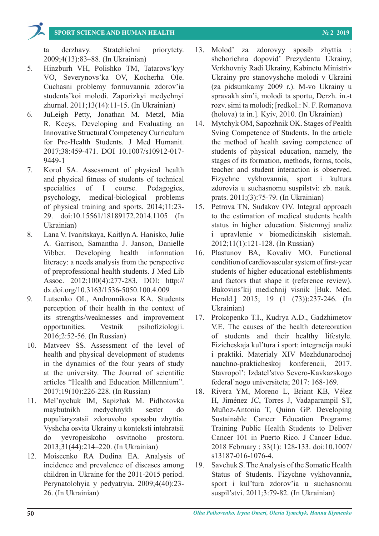## **SPORT SCIENCE AND HUMAN HEALTH № 2 2019**

ta derzhavy. Stratehichni priorytety. 2009;4(13):83–88. (In Ukrainian)

- 5. Hinzburh VH, Polishko TM, Tatarovs'kyy VO, Severynovs'ka OV, Kocherha OIe. Cuchasni problemy formuvannia zdorov'ia students'koi molodi. Zaporizkyi medychnyi zhurnal. 2011;13(14):11-15. (In Ukrainian)
- 6. JuLeigh Petty, Jonathan M. Metzl, Mia R. Keeys. Developing and Evaluating an Innovative Structural Competency Curriculum for Pre-Health Students. J Med Humanit. 2017;38:459-471. DOI 10.1007/s10912-017- 9449-1
- 7. Kоrol SA. Assessment of physical health and physical fitness of students of technical specialties of I course. Pedagogics, psychology, medical-biological problems of physical training and sports. 2014;11:23- 29. doi:10.15561/18189172.2014.1105 (In Ukrainian)
- 8. Lana V. Ivanitskaya, Kaitlyn A. Hanisko, Julie A. Garrison, Samantha J. Janson, Danielle Vibber. Developing health information literacy: a needs analysis from the perspective of preprofessional health students. J Med Lib Assoc. 2012;100(4):277-283. DOI: http:// dx.doi.org/10.3163/1536-5050.100.4.009
- 9. Lutsenko OL, Andronnikova KA. Students perception of their health in the context of its strengths/weaknesses and improvement opportunities. Vestnik psihofiziologii. 2016;2:52-56. (In Russian)
- 10. Matveev SS. Аssessment of the level of health and physical development of students in the dynamics of the four years of study at the university. The Journal of scientific articles "Health and Education Millennium". 2017;19(10):226-228. (In Russian)
- 11. Mel'nychuk IM, Sapizhak M. Pidhotovka maybutnikh medychnykh sester do populiaryzatsii zdorovoho sposobu zhyttia. Vyshcha osvita Ukrainy u konteksti intehratsii do yevropeiskoho osvitnoho prostoru. 2013;31(44):214–220. (In Ukrainian)
- 12. Moiseenko RA Dudina EA. Analysis of incidence and prevalence of diseases among children in Ukraine for the 2011-2015 period. Perynatolohyia y pedyatryia. 2009;4(40):23- 26. (In Ukrainian)
- 13. Molod' za zdorovyy sposib zhyttia : shchorichna dopovid' Prezydentu Ukrainy, Verkhovniy Radi Ukrainy, Kabinetu Ministriv Ukrainy pro stanovyshche molodi v Ukraini (za pidsumkamy 2009 r.). M-vo Ukrainy u spravakh sim'i, molodi ta sportu, Derzh. in.-t rozv. simi ta molodi; [redkol.: N. F. Romanova (holova) ta in.]. Kyiv, 2010. (In Ukrainian)
- 14. Mytchyk OM, Sapozhnik OK. Stages of Рealth Sving Competence of Students. In the article the method of health saving competence of students of physical education, namely, the stages of its formation, methods, forms, tools, teacher and student interaction is observed. Fizychne vykhovannia, sport i kultura zdorovia u suchasnomu suspilstvi: zb. nauk. prats. 2011;(3):75-79. (In Ukrainian)
- 15. Petrova TN, Sudakov OV. Integral approach to the estimation of medical students health status in higher education. Sistemnyj analiz i upravlenie v biomedicinskih sistemah. 2012;11(1):121-128. (In Russian)
- 16. Plastunov ВА, Kovaliv МО. Functional condition of cardiovascular system of first-year students of higher educational esteblishments and factors that shape it (reference review). Bukovins'kij medichnij vіsnik [Buk. Med. Herald.] 2015; 19 (1 (73)):237-246. (In Ukrainian)
- 17. Prokopenko T.I., Kudrya A.D., Gadzhimetov V.E. The causes of the health detereoration of students and their healthy lifestyle. Fizicheskaja kul'tura i sport: integracija nauki i praktiki. Materialy XIV Mezhdunarodnoj nauchno-prakticheskoj konferencii, 2017. Stavropol': Izdatel'stvo Severo-Kavkazskogo federal'nogo universiteta; 2017: 168-169.
- 18. Rivera YM, Moreno L, Briant KB, Vélez H, Jiménez JC, Torres J, Vadaparampil ST, Muñoz-Antonia T, Quinn GP. Developing Sustainable Cancer Education Programs: Training Public Health Students to Deliver Cancer 101 in Puerto Rico. J Cancer Educ. 2018 February ; 33(1): 128-133. doi:10.1007/ s13187-016-1076-4.
- 19. Savchuk S. The Analysis of the Somatic Health Status of Students. Fizychne vykhovannia, sport i kul'tura zdorov'ia u suchasnomu suspil'stvi. 2011;3:79-82. (In Ukrainian)